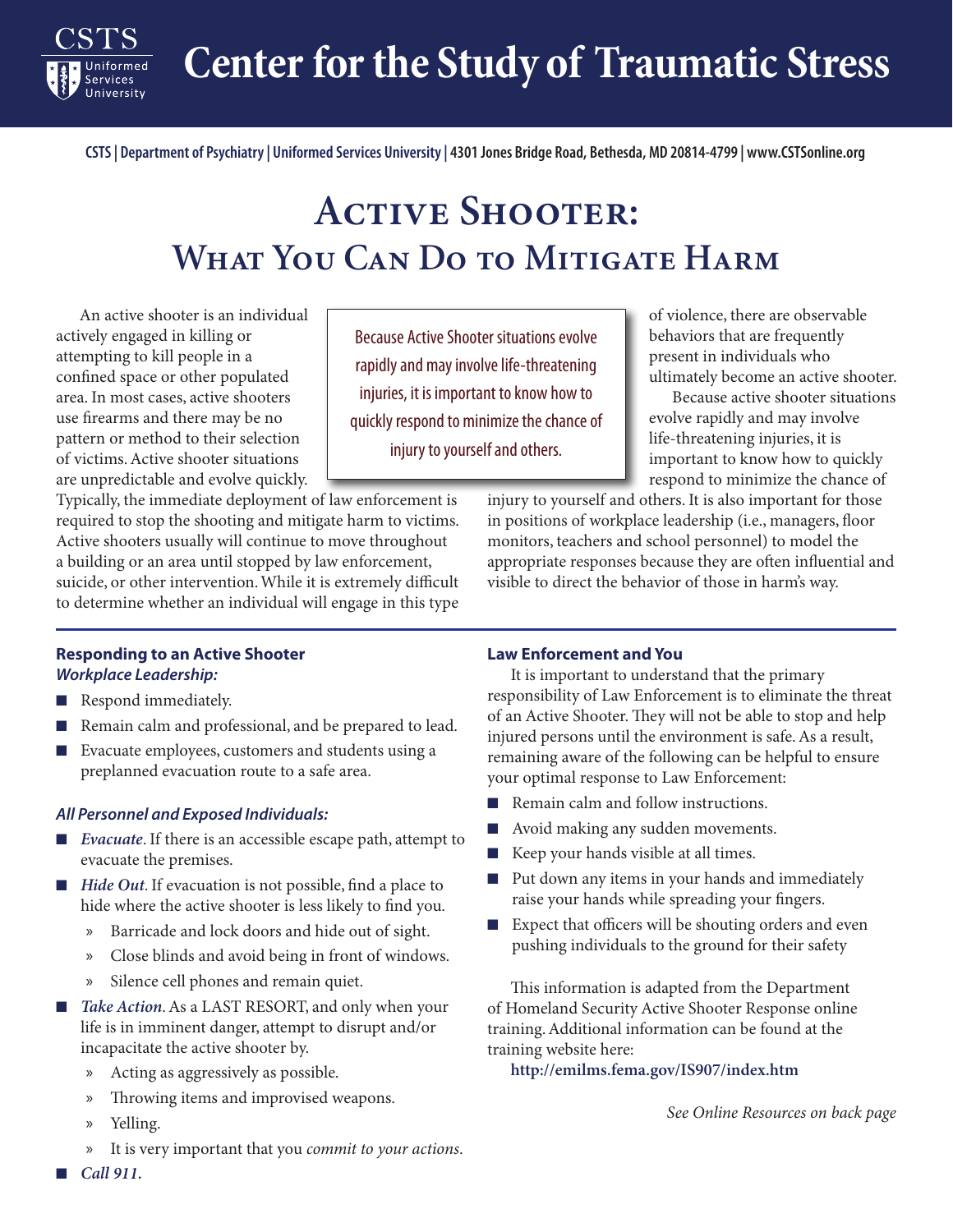**Center for the Study of Traumatic Stress**

**CSTS | Department of Psychiatry | Uniformed Services University | 4301 Jones Bridge Road, Bethesda, MD 20814-4799 | www.CSTSonline.org**

# **Active Shooter: What You Can Do to Mitigate Harm**

Because Active Shooter situations evolve rapidly and may involve life-threatening injuries, it is important to know how to quickly respond to minimize the chance of injury to yourself and others.

An active shooter is an individual actively engaged in killing or attempting to kill people in a confined space or other populated area. In most cases, active shooters use firearms and there may be no pattern or method to their selection of victims. Active shooter situations are unpredictable and evolve quickly.

**Services** 

Typically, the immediate deployment of law enforcement is required to stop the shooting and mitigate harm to victims. Active shooters usually will continue to move throughout a building or an area until stopped by law enforcement, suicide, or other intervention. While it is extremely difficult to determine whether an individual will engage in this type

of violence, there are observable behaviors that are frequently present in individuals who ultimately become an active shooter.

Because active shooter situations evolve rapidly and may involve life-threatening injuries, it is important to know how to quickly respond to minimize the chance of

injury to yourself and others. It is also important for those in positions of workplace leadership (i.e., managers, floor monitors, teachers and school personnel) to model the appropriate responses because they are often influential and visible to direct the behavior of those in harm's way.

## **Responding to an Active Shooter** *Workplace Leadership:*

- Respond immediately.
- Remain calm and professional, and be prepared to lead.
- Evacuate employees, customers and students using a preplanned evacuation route to a safe area.

## *All Personnel and Exposed Individuals:*

- *Evacuate*. If there is an accessible escape path, attempt to evacuate the premises.
- *Hide Out*. If evacuation is not possible, find a place to hide where the active shooter is less likely to find you.
	- Barricade and lock doors and hide out of sight.
	- x Close blinds and avoid being in front of windows.
	- x Silence cell phones and remain quiet.
- *Take Action*. As a LAST RESORT, and only when your life is in imminent danger, attempt to disrupt and/or incapacitate the active shooter by.
	- x Acting as aggressively as possible.
	- x Throwing items and improvised weapons.
	- x Yelling.
	- It is very important that you *commit to your actions*.

## **Law Enforcement and You**

It is important to understand that the primary responsibility of Law Enforcement is to eliminate the threat of an Active Shooter. They will not be able to stop and help injured persons until the environment is safe. As a result, remaining aware of the following can be helpful to ensure your optimal response to Law Enforcement:

- Remain calm and follow instructions.
- Avoid making any sudden movements.
- Keep your hands visible at all times.
- Put down any items in your hands and immediately raise your hands while spreading your fingers.
- Expect that officers will be shouting orders and even pushing individuals to the ground for their safety

This information is adapted from the Department of Homeland Security Active Shooter Response online training. Additional information can be found at the training website here:

**http://emilms.fema.gov/IS907/index.htm**

*See Online Resources on back page*

■ *Call* 911.